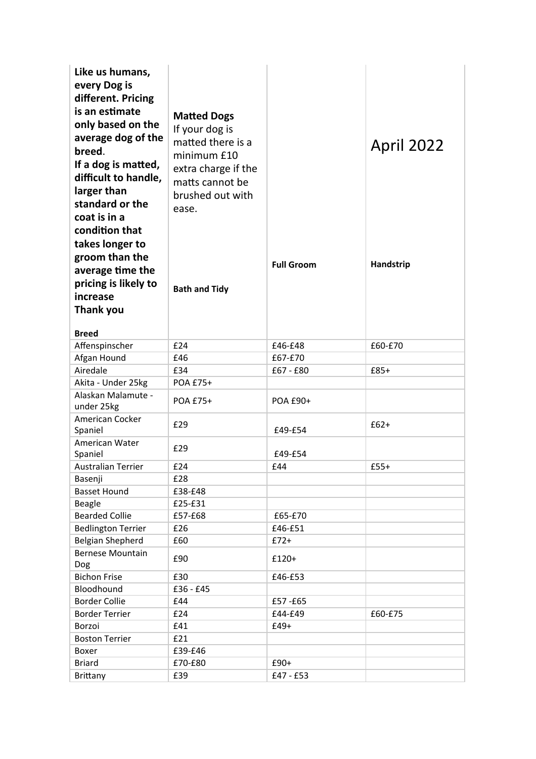| Like us humans,                          |                      |                   |                   |
|------------------------------------------|----------------------|-------------------|-------------------|
| every Dog is                             |                      |                   |                   |
| different. Pricing                       |                      |                   |                   |
| is an estimate                           |                      |                   |                   |
| only based on the                        | <b>Matted Dogs</b>   |                   |                   |
| average dog of the                       | If your dog is       |                   |                   |
| breed.                                   | matted there is a    |                   | <b>April 2022</b> |
| If a dog is matted,                      | minimum £10          |                   |                   |
| difficult to handle,                     | extra charge if the  |                   |                   |
|                                          | matts cannot be      |                   |                   |
| larger than                              | brushed out with     |                   |                   |
| standard or the                          | ease.                |                   |                   |
| coat is in a                             |                      |                   |                   |
| condition that                           |                      |                   |                   |
| takes longer to                          |                      |                   |                   |
| groom than the                           |                      | <b>Full Groom</b> | Handstrip         |
| average time the                         |                      |                   |                   |
| pricing is likely to                     | <b>Bath and Tidy</b> |                   |                   |
| increase                                 |                      |                   |                   |
| Thank you                                |                      |                   |                   |
|                                          |                      |                   |                   |
| <b>Breed</b>                             |                      |                   |                   |
| Affenspinscher                           | £24                  | £46-£48           | £60-£70           |
| Afgan Hound<br>Airedale                  | £46                  | £67-£70           |                   |
|                                          | £34                  | $£67 - £80$       | $£85+$            |
| Akita - Under 25kg<br>Alaskan Malamute - | POA £75+             |                   |                   |
| under 25kg                               | POA £75+             | POA £90+          |                   |
| American Cocker                          |                      |                   |                   |
| Spaniel                                  | £29                  | £49-£54           | $£62+$            |
| American Water                           |                      |                   |                   |
| Spaniel                                  | £29                  | £49-£54           |                   |
| Australian Terrier                       | £24                  | £44               | $£55+$            |
| Basenji                                  | £28                  |                   |                   |
| <b>Basset Hound</b>                      | £38-£48              |                   |                   |
| Beagle                                   | £25-£31              |                   |                   |
| <b>Bearded Collie</b>                    | £57-£68              | £65-£70           |                   |
| <b>Bedlington Terrier</b>                | £26                  | £46-£51           |                   |
| <b>Belgian Shepherd</b>                  | £60                  | $£72+$            |                   |
| <b>Bernese Mountain</b>                  | £90                  | £120+             |                   |
| Dog                                      |                      |                   |                   |
| <b>Bichon Frise</b>                      | £30                  | £46-£53           |                   |
| Bloodhound                               | £36 - £45            |                   |                   |
| <b>Border Collie</b>                     | £44                  | £57-£65           |                   |
| <b>Border Terrier</b>                    | £24                  | £44-£49           | £60-£75           |
| Borzoi                                   | £41                  | $£49+$            |                   |
| <b>Boston Terrier</b>                    | £21                  |                   |                   |
| Boxer                                    | £39-£46              |                   |                   |
| <b>Briard</b>                            | £70-£80              | £90+              |                   |
| <b>Brittany</b>                          | £39                  | £47 - £53         |                   |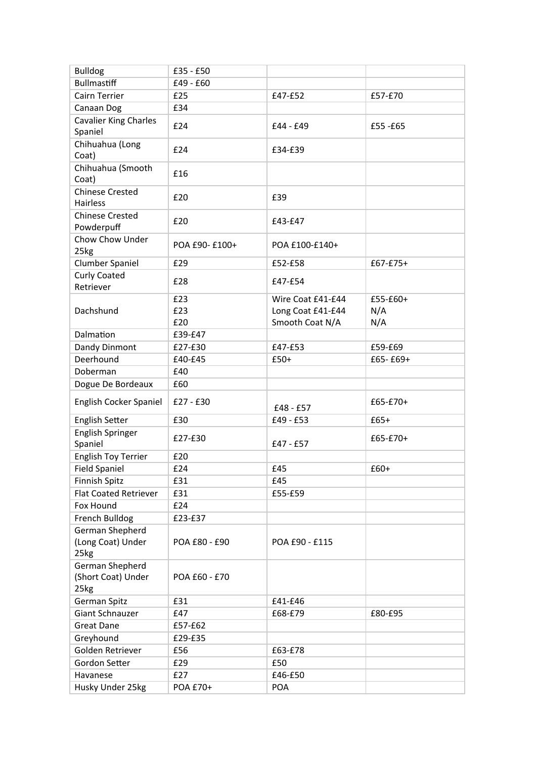| <b>Bulldog</b>                                | £35 - £50         |                                                           |                        |
|-----------------------------------------------|-------------------|-----------------------------------------------------------|------------------------|
| <b>Bullmastiff</b>                            | £49 - £60         |                                                           |                        |
| Cairn Terrier                                 | £25               | £47-£52                                                   | £57-£70                |
| Canaan Dog                                    | £34               |                                                           |                        |
| <b>Cavalier King Charles</b><br>Spaniel       | £24               | £44 - £49                                                 | £55 -£65               |
| Chihuahua (Long<br>Coat)                      | £24               | £34-£39                                                   |                        |
| Chihuahua (Smooth<br>Coat)                    | £16               |                                                           |                        |
| <b>Chinese Crested</b><br>Hairless            | £20               | £39                                                       |                        |
| <b>Chinese Crested</b><br>Powderpuff          | £20               | £43-£47                                                   |                        |
| Chow Chow Under<br>25kg                       | POA £90-£100+     | POA £100-£140+                                            |                        |
| Clumber Spaniel                               | £29               | £52-£58                                                   | £67-£75+               |
| <b>Curly Coated</b><br>Retriever              | £28               | £47-£54                                                   |                        |
| Dachshund                                     | £23<br>£23<br>£20 | Wire Coat £41-£44<br>Long Coat £41-£44<br>Smooth Coat N/A | £55-£60+<br>N/A<br>N/A |
| Dalmation                                     | £39-£47           |                                                           |                        |
| Dandy Dinmont                                 | £27-£30           | £47-£53                                                   | £59-£69                |
| Deerhound                                     | £40-£45           | $£50+$                                                    | £65-£69+               |
| Doberman                                      | £40               |                                                           |                        |
| Dogue De Bordeaux                             | £60               |                                                           |                        |
| English Cocker Spaniel                        | £27 - £30         | £48 - £57                                                 | £65-£70+               |
| <b>English Setter</b>                         | £30               | £49 - £53                                                 | $£65+$                 |
| English Springer<br>Spaniel                   | £27-£30           | £47 - £57                                                 | £65-£70+               |
| English Toy Terrier                           | £20               |                                                           |                        |
| Field Spaniel                                 | £24               | £45                                                       | £60+                   |
| Finnish Spitz                                 | £31               | £45                                                       |                        |
| Flat Coated Retriever                         | £31               | £55-£59                                                   |                        |
| Fox Hound                                     | £24               |                                                           |                        |
| French Bulldog                                | £23-£37           |                                                           |                        |
| German Shepherd<br>(Long Coat) Under<br>25kg  | POA £80 - £90     | POA £90 - £115                                            |                        |
| German Shepherd<br>(Short Coat) Under<br>25kg | POA £60 - £70     |                                                           |                        |
| German Spitz                                  | £31               | £41-£46                                                   |                        |
| Giant Schnauzer                               |                   | £68-£79                                                   | £80-£95                |
|                                               | £47               |                                                           |                        |
| <b>Great Dane</b>                             | £57-£62           |                                                           |                        |
| Greyhound                                     | £29-£35           |                                                           |                        |
| Golden Retriever                              | £56               | £63-£78                                                   |                        |
| Gordon Setter                                 | £29               | £50                                                       |                        |
| Havanese                                      | £27               | £46-£50                                                   |                        |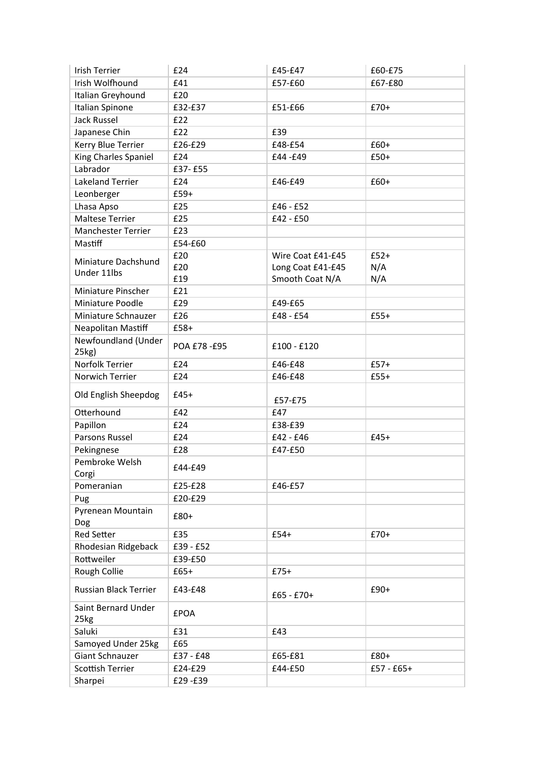| <b>Irish Terrier</b>      | £24         | £45-£47           | £60-£75      |
|---------------------------|-------------|-------------------|--------------|
| Irish Wolfhound           | £41         | £57-£60           | £67-£80      |
| Italian Greyhound         | £20         |                   |              |
| Italian Spinone           | £32-£37     | £51-£66           | $£70+$       |
| <b>Jack Russel</b>        | £22         |                   |              |
| Japanese Chin             | £22         | £39               |              |
| Kerry Blue Terrier        | £26-£29     | £48-£54           | $£60+$       |
| King Charles Spaniel      | £24         | £44-£49           | $£50+$       |
| Labrador                  | £37-£55     |                   |              |
| Lakeland Terrier          | £24         | £46-£49           | £60+         |
| Leonberger                | £59+        |                   |              |
| Lhasa Apso                | £25         | £46 - £52         |              |
| Maltese Terrier           | £25         | £42 - £50         |              |
| <b>Manchester Terrier</b> | £23         |                   |              |
| Mastiff                   | £54-£60     |                   |              |
|                           | £20         | Wire Coat £41-£45 | $£52+$       |
| Miniature Dachshund       | £20         | Long Coat £41-£45 | N/A          |
| Under 11lbs               | £19         | Smooth Coat N/A   | N/A          |
| Miniature Pinscher        | £21         |                   |              |
| Miniature Poodle          | £29         | £49-£65           |              |
| Miniature Schnauzer       | £26         | £48 - £54         | $£55+$       |
| Neapolitan Mastiff        | £58+        |                   |              |
| Newfoundland (Under       |             |                   |              |
| 25kg)                     | POA £78-£95 | £100 - £120       |              |
| Norfolk Terrier           | £24         | £46-£48           | $£57+$       |
| Norwich Terrier           | £24         | £46-£48           | $£55+$       |
|                           |             |                   |              |
| Old English Sheepdog      | $£45+$      | £57-£75           |              |
| Otterhound                | £42         | £47               |              |
| Papillon                  | £24         | £38-£39           |              |
| Parsons Russel            | £24         | £42 - £46         | $£45+$       |
| Pekingnese                | £28         | £47-£50           |              |
| Pembroke Welsh            |             |                   |              |
| Corgi                     | £44-£49     |                   |              |
| Pomeranian                | £25-£28     | £46-£57           |              |
| Pug                       | £20-£29     |                   |              |
| Pyrenean Mountain         | £80+        |                   |              |
| Dog                       |             |                   |              |
| <b>Red Setter</b>         | £35         | $£54+$            | $£70+$       |
| Rhodesian Ridgeback       | £39 - £52   |                   |              |
| Rottweiler                | £39-£50     |                   |              |
| Rough Collie              | $£65+$      | $£75+$            |              |
| Russian Black Terrier     | £43-£48     | $£65 - £70+$      | $£90+$       |
| Saint Bernard Under       |             |                   |              |
| 25kg                      | <b>£POA</b> |                   |              |
| Saluki                    | £31         | £43               |              |
| Samoyed Under 25kg        | £65         |                   |              |
| Giant Schnauzer           | £37 - £48   | £65-£81           | £80+         |
| Scottish Terrier          | £24-£29     | £44-£50           | $£57 - £65+$ |
| Sharpei                   | £29-£39     |                   |              |
|                           |             |                   |              |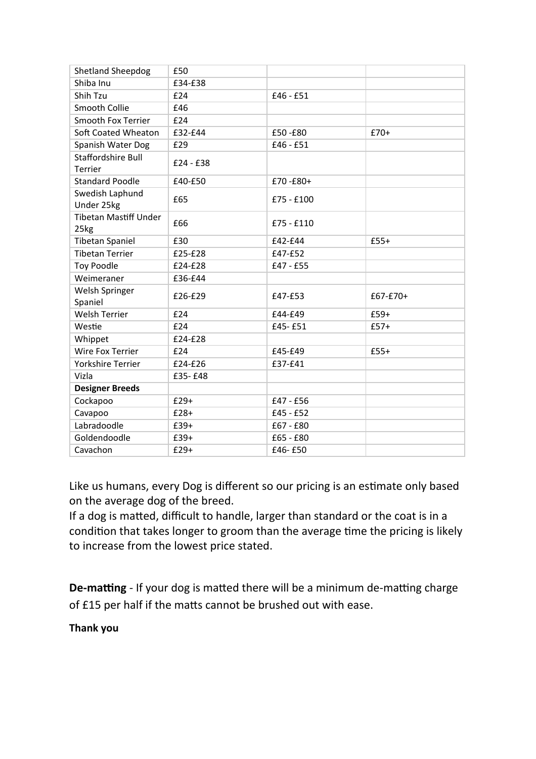| <b>Shetland Sheepdog</b>             | £50         |              |            |
|--------------------------------------|-------------|--------------|------------|
| Shiba Inu                            | £34-£38     |              |            |
| Shih Tzu                             | £24         | £46 - £51    |            |
| Smooth Collie                        | £46         |              |            |
| <b>Smooth Fox Terrier</b>            | £24         |              |            |
| Soft Coated Wheaton                  | £32-£44     | £50-£80      | $£70+$     |
| Spanish Water Dog                    | £29         | £46 - £51    |            |
| <b>Staffordshire Bull</b><br>Terrier | $£24 - £38$ |              |            |
| <b>Standard Poodle</b>               | £40-£50     | £70-£80+     |            |
| Swedish Laphund<br>Under 25kg        | £65         | £75 - £100   |            |
| <b>Tibetan Mastiff Under</b><br>25kg | £66         | $£75 - £110$ |            |
| <b>Tibetan Spaniel</b>               | £30         | £42-£44      | $£55+$     |
| <b>Tibetan Terrier</b>               | £25-£28     | £47-£52      |            |
| <b>Toy Poodle</b>                    | £24-£28     | £47 - £55    |            |
| Weimeraner                           | £36-£44     |              |            |
| Welsh Springer<br>Spaniel            | £26-£29     | £47-£53      | $£67-E70+$ |
| <b>Welsh Terrier</b>                 | £24         | £44-£49      | £59+       |
| Westie                               | £24         | £45-£51      | $£57+$     |
| Whippet                              | £24-£28     |              |            |
| Wire Fox Terrier                     | £24         | £45-£49      | $£55+$     |
| <b>Yorkshire Terrier</b>             | £24-£26     | £37-£41      |            |
| Vizla                                | £35-£48     |              |            |
| <b>Designer Breeds</b>               |             |              |            |
| Cockapoo                             | $£29+$      | £47 - £56    |            |
| Cavapoo                              | $£28+$      | $£45 - £52$  |            |
| Labradoodle                          | £39+        | £67 - £80    |            |
| Goldendoodle                         | £39+        | £65 - £80    |            |
| Cavachon                             | $£29+$      | £46-£50      |            |

Like us humans, every Dog is different so our pricing is an estimate only based on the average dog of the breed.

If a dog is matted, difficult to handle, larger than standard or the coat is in a condition that takes longer to groom than the average time the pricing is likely to increase from the lowest price stated.

**De-matting** - If your dog is matted there will be a minimum de-matting charge of £15 per half if the matts cannot be brushed out with ease.

**Thank you**